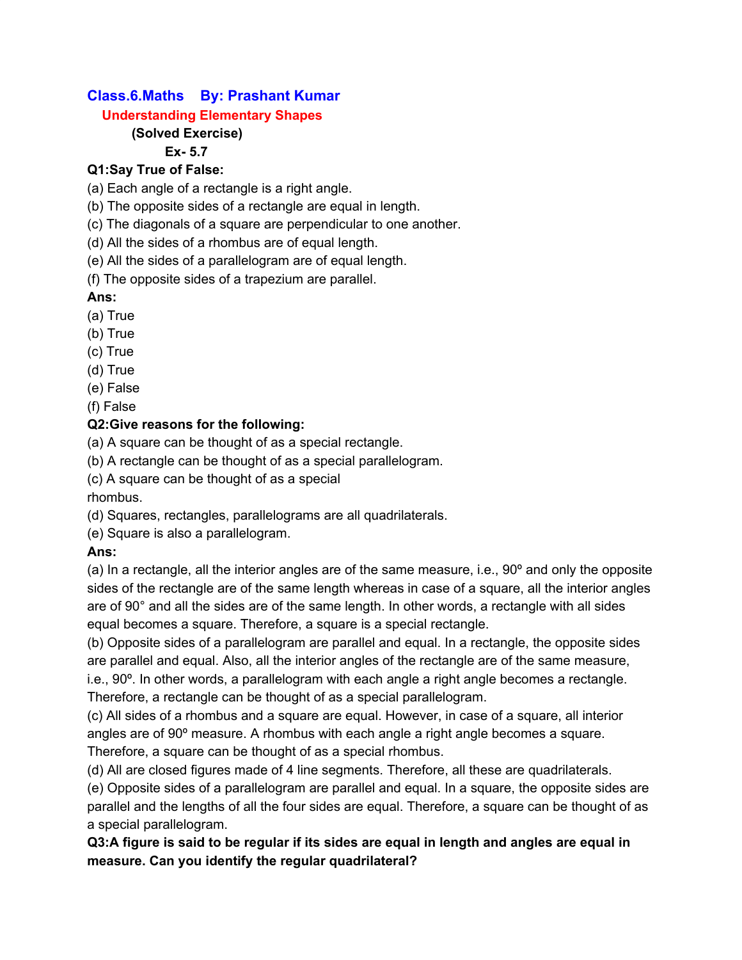# **Class.6.Maths By: Prashant Kumar**

### **Understanding Elementary Shapes**

# **(Solved Exercise)**

### **Ex- 5.7**

# **Q1:Say True of False:**

(a) Each angle of a rectangle is a right angle.

(b) The opposite sides of a rectangle are equal in length.

(c) The diagonals of a square are perpendicular to one another.

(d) All the sides of a rhombus are of equal length.

(e) All the sides of a parallelogram are of equal length.

(f) The opposite sides of a trapezium are parallel.

# **Ans:**

- (a) True
- (b) True
- (c) True
- (d) True
- (e) False
- (f) False

# **Q2:Give reasons for the following:**

(a) A square can be thought of as a special rectangle.

(b) A rectangle can be thought of as a special parallelogram.

(c) A square can be thought of as a special

rhombus.

(d) Squares, rectangles, parallelograms are all quadrilaterals.

(e) Square is also a parallelogram.

# **Ans:**

(a) In a rectangle, all the interior angles are of the same measure, i.e., 90º and only the opposite sides of the rectangle are of the same length whereas in case of a square, all the interior angles are of 90° and all the sides are of the same length. In other words, a rectangle with all sides equal becomes a square. Therefore, a square is a special rectangle.

(b) Opposite sides of a parallelogram are parallel and equal. In a rectangle, the opposite sides are parallel and equal. Also, all the interior angles of the rectangle are of the same measure, i.e., 90°. In other words, a parallelogram with each angle a right angle becomes a rectangle.

Therefore, a rectangle can be thought of as a special parallelogram.

(c) All sides of a rhombus and a square are equal. However, in case of a square, all interior angles are of 90º measure. A rhombus with each angle a right angle becomes a square. Therefore, a square can be thought of as a special rhombus.

(d) All are closed figures made of 4 line segments. Therefore, all these are quadrilaterals.

(e) Opposite sides of a parallelogram are parallel and equal. In a square, the opposite sides are parallel and the lengths of all the four sides are equal. Therefore, a square can be thought of as a special parallelogram.

**Q3:A figure is said to be regular if its sides are equal in length and angles are equal in measure. Can you identify the regular quadrilateral?**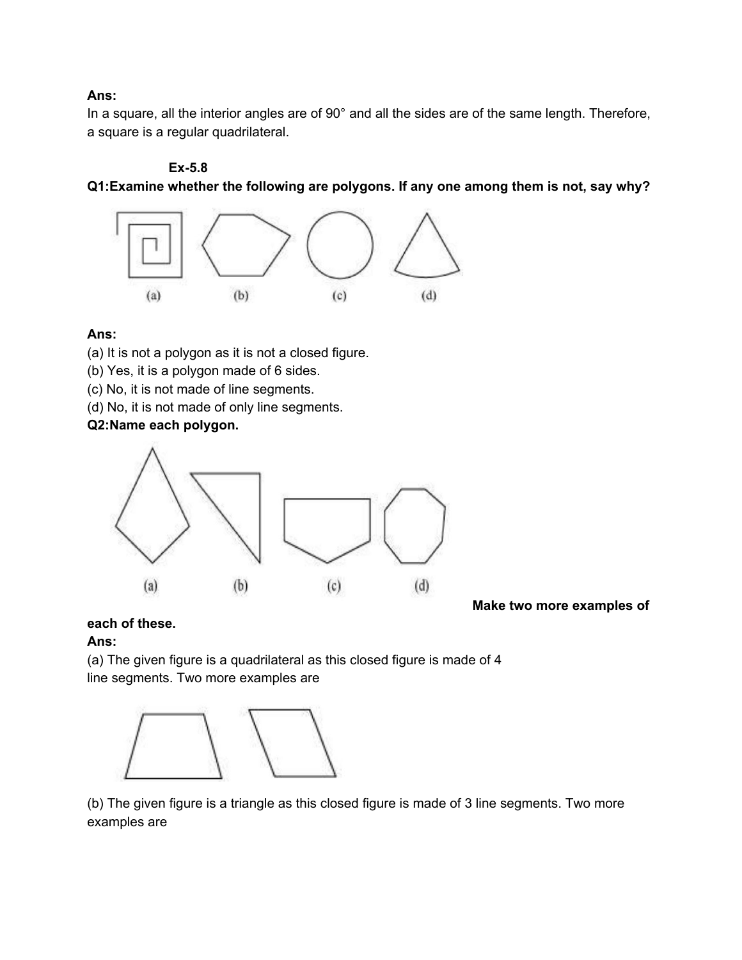#### **Ans:**

In a square, all the interior angles are of 90° and all the sides are of the same length. Therefore, a square is a regular quadrilateral.

#### **Ex-5.8**

**Q1:Examine whether the following are polygons. If any one among them is not, say why?**



#### **Ans:**

(a) It is not a polygon as it is not a closed figure.

- (b) Yes, it is a polygon made of 6 sides.
- (c) No, it is not made of line segments.
- (d) No, it is not made of only line segments.

#### **Q2:Name each polygon.**



**Make two more examples of**

**each of these.**

#### **Ans:**

(a) The given figure is a quadrilateral as this closed figure is made of 4 line segments. Two more examples are



(b) The given figure is a triangle as this closed figure is made of 3 line segments. Two more examples are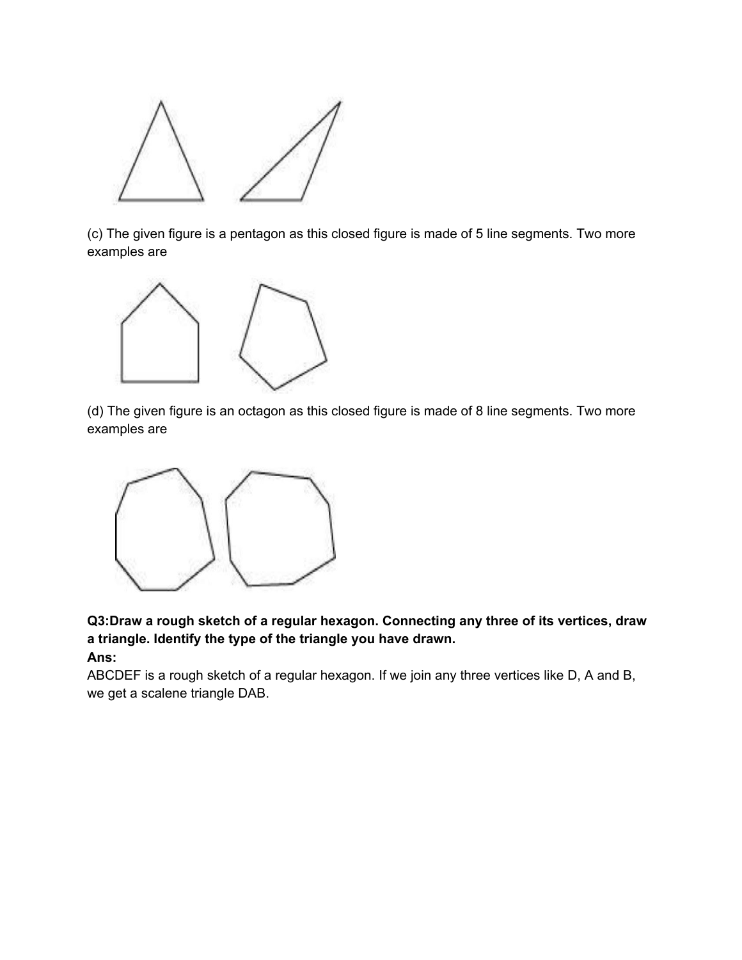

(c) The given figure is a pentagon as this closed figure is made of 5 line segments. Two more examples are



(d) The given figure is an octagon as this closed figure is made of 8 line segments. Two more examples are



**Q3:Draw a rough sketch of a regular hexagon. Connecting any three of its vertices, draw a triangle. Identify the type of the triangle you have drawn. Ans:**

ABCDEF is a rough sketch of a regular hexagon. If we join any three vertices like D, A and B, we get a scalene triangle DAB.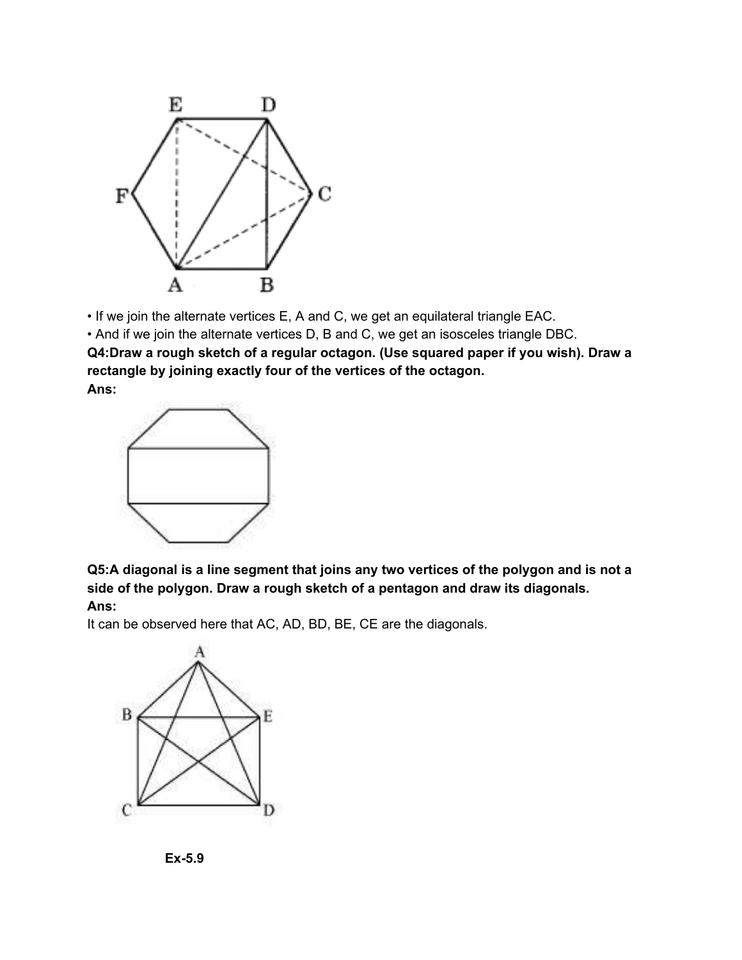

• If we join the alternate vertices E, A and C, we get an equilateral triangle EAC.

• And if we join the alternate vertices D, B and C, we get an isosceles triangle DBC.

**Q4:Draw a rough sketch of a regular octagon. (Use squared paper if you wish). Draw a rectangle by joining exactly four of the vertices of the octagon. Ans:**



**Q5:A diagonal is a line segment that joins any two vertices of the polygon and is not a side of the polygon. Draw a rough sketch of a pentagon and draw its diagonals. Ans:**

It can be observed here that AC, AD, BD, BE, CE are the diagonals.



**Ex-5.9**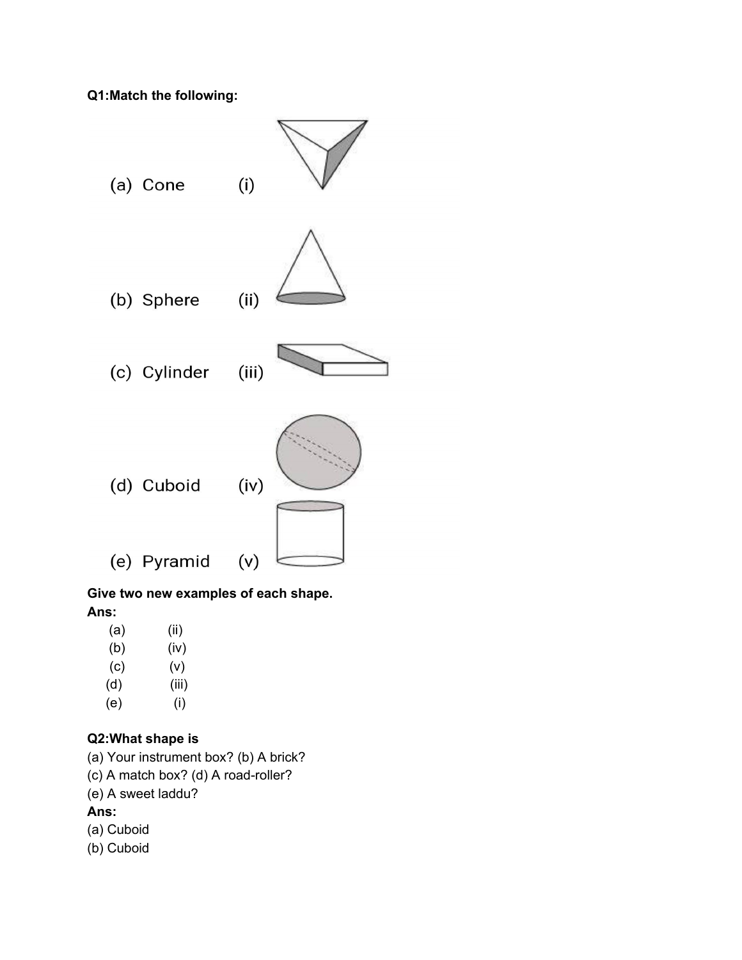**Q1:Match the following:**



# **Give two new examples of each shape. Ans:**

- (a) (ii)
- (b) (iv)
- (c) (v)
- (d) (iii) (e) (i)

# **Q2:What shape is**

- (a) Your instrument box? (b) A brick?
- (c) A match box? (d) A road-roller?
- (e) A sweet laddu?

# **Ans:**

- (a) Cuboid
- (b) Cuboid